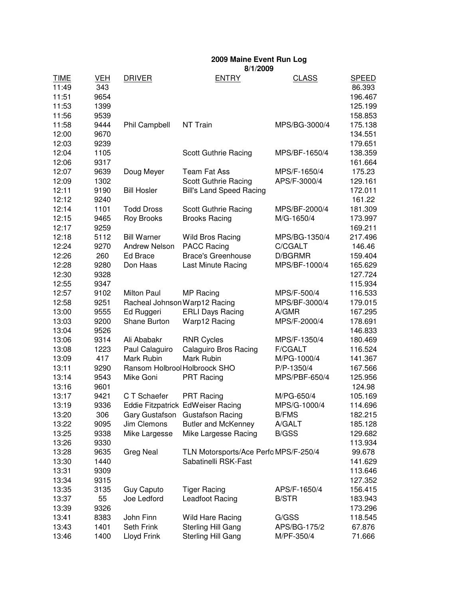**2009 Maine Event Run Log**

TIME VEH DRIVER ENTRY CLASS SPEED 11:49 343 86.393 11:51 9654 196.467 11:53 1399 125.199 11:56 9539 158.853 11:58 9444 Phil Campbell NT Train MPS/BG-3000/4 175.138 12:00 9670 134.551 12:03 9239 179.651 12:04 1105 Scott Guthrie Racing MPS/BF-1650/4 138.359 12:06 9317 161.664 12:07 9639 Doug Meyer Team Fat Ass MPS/F-1650/4 175.23 12:09 1302 Scott Guthrie Racing APS/F-3000/4 129.161 12:11 9190 Bill Hosler Bill's Land Speed Racing 172.011 12:12 9240 **161.22** 12:14 1101 Todd Dross Scott Guthrie Racing MPS/BF-2000/4 181.309 12:15 9465 Roy Brooks Brooks Racing M/G-1650/4 173.997 12:17 9259 169.211 12:18 5112 Bill Warner Wild Bros Racing MPS/BG-1350/4 217.496 12:24 9270 Andrew Nelson PACC Racing C/CGALT 146.46 12:26 260 Ed Brace Brace's Greenhouse D/BGRMR 159.404 12:28 9280 Don Haas Last Minute Racing MPS/BF-1000/4 165.629 12:30 9328 127.724 12:55 9347 115.934 12:57 9102 Milton Paul MP Racing MPS/F-500/4 116.533 12:58 9251 Racheal JohnsonWarp12 Racing MPS/BF-3000/4 179.015 13:00 9555 Ed Ruggeri ERLI Days Racing A/GMR 167.295 13:03 9200 Shane Burton Warp12 Racing MPS/F-2000/4 178.691 13:04 9526 146.833 13:06 9314 Ali Ababakr RNR Cycles MPS/F-1350/4 180.469 13:08 1223 Paul Calaguiro Calaguiro Bros Racing F/CGALT 116.524 13:09 417 Mark Rubin Mark Rubin M/PG-1000/4 141.367 13:11 9290 Ransom HolbrookHolbroock SHO P/P-1350/4 167.566 13:14 9543 Mike Goni PRT Racing MPS/PBF-650/4 125.956 13:16 9601 124.98 13:17 9421 C T Schaefer PRT Racing M/PG-650/4 105.169 13:19 9336 Eddie Fitzpatrick EdWeiser Racing MPS/G-1000/4 114.696 13:20 306 Gary Gustafson Gustafson Racing B/FMS 182.215 13:22 9095 Jim Clemons Butler and McKenney A/GALT 185.128 13:25 9338 Mike Largesse Mike Largesse Racing B/GSS 129.682 13:26 9330 113.934 13:28 9635 Greg Neal TLN Motorsports/Ace Perfo MPS/F-250/4 99.678 13:30 1440 Sabatinelli RSK-Fast 141.629 13:31 9309 113.646 13:34 9315 127.352 13:35 3135 Guy Caputo Tiger Racing APS/F-1650/4 156.415 13:37 55 Joe Ledford Leadfoot Racing B/STR 183.943 13:39 9326 173.296 13:41 8383 John Finn Wild Hare Racing G/GSS 118.545 13:43 1401 Seth Frink Sterling Hill Gang APS/BG-175/2 67.876 13:46 1400 Lloyd Frink Sterling Hill Gang M/PF-350/4 71.666 **8/1/2009**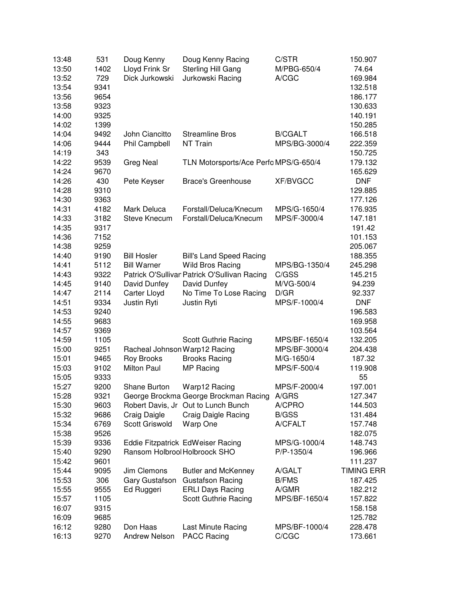| 13:48 | 531  | Doug Kenny                    | Doug Kenny Racing                            | C/STR           | 150.907           |
|-------|------|-------------------------------|----------------------------------------------|-----------------|-------------------|
| 13:50 | 1402 | Lloyd Frink Sr                | Sterling Hill Gang                           | M/PBG-650/4     | 74.64             |
| 13:52 | 729  | Dick Jurkowski                | Jurkowski Racing                             | A/CGC           | 169.984           |
| 13:54 | 9341 |                               |                                              |                 | 132.518           |
| 13:56 | 9654 |                               |                                              |                 | 186.177           |
| 13:58 | 9323 |                               |                                              |                 | 130.633           |
| 14:00 | 9325 |                               |                                              |                 | 140.191           |
| 14:02 | 1399 |                               |                                              |                 | 150.285           |
| 14:04 | 9492 | John Ciancitto                | <b>Streamline Bros</b>                       | <b>B/CGALT</b>  | 166.518           |
| 14:06 | 9444 | Phil Campbell                 | NT Train                                     | MPS/BG-3000/4   | 222.359           |
| 14:19 | 343  |                               |                                              |                 | 150.725           |
| 14:22 | 9539 | <b>Greg Neal</b>              | TLN Motorsports/Ace Perfo MPS/G-650/4        |                 | 179.132           |
| 14:24 | 9670 |                               |                                              |                 | 165.629           |
| 14:26 | 430  | Pete Keyser                   | <b>Brace's Greenhouse</b>                    | <b>XF/BVGCC</b> | <b>DNF</b>        |
| 14:28 | 9310 |                               |                                              |                 | 129.885           |
| 14:30 | 9363 |                               |                                              |                 | 177.126           |
| 14:31 | 4182 | Mark Deluca                   | Forstall/Deluca/Knecum                       | MPS/G-1650/4    | 176.935           |
| 14:33 | 3182 | Steve Knecum                  | Forstall/Deluca/Knecum                       | MPS/F-3000/4    | 147.181           |
| 14:35 | 9317 |                               |                                              |                 | 191.42            |
| 14:36 | 7152 |                               |                                              |                 | 101.153           |
| 14:38 | 9259 |                               |                                              |                 | 205.067           |
| 14:40 | 9190 | <b>Bill Hosler</b>            | <b>Bill's Land Speed Racing</b>              |                 | 188.355           |
| 14:41 | 5112 | <b>Bill Warner</b>            | <b>Wild Bros Racing</b>                      | MPS/BG-1350/4   | 245.298           |
| 14:43 | 9322 |                               | Patrick O'Sullivar Patrick O'Sullivan Racing | C/GSS           | 145.215           |
| 14:45 | 9140 | David Dunfey                  | David Dunfey                                 | M/VG-500/4      | 94.239            |
| 14:47 | 2114 | Carter Lloyd                  | No Time To Lose Racing                       | D/GR            | 92.337            |
| 14:51 | 9334 | Justin Ryti                   | Justin Ryti                                  | MPS/F-1000/4    | <b>DNF</b>        |
| 14:53 | 9240 |                               |                                              |                 | 196.583           |
| 14:55 | 9683 |                               |                                              |                 | 169.958           |
| 14:57 | 9369 |                               |                                              |                 | 103.564           |
| 14:59 | 1105 |                               | Scott Guthrie Racing                         | MPS/BF-1650/4   | 132.205           |
| 15:00 | 9251 | Racheal Johnson Warp12 Racing |                                              | MPS/BF-3000/4   | 204.438           |
| 15:01 | 9465 | <b>Roy Brooks</b>             | <b>Brooks Racing</b>                         | M/G-1650/4      | 187.32            |
| 15:03 | 9102 | <b>Milton Paul</b>            | MP Racing                                    | MPS/F-500/4     | 119.908           |
| 15:05 | 9333 |                               |                                              |                 | 55                |
| 15:27 | 9200 | Shane Burton                  | Warp12 Racing                                | MPS/F-2000/4    | 197.001           |
| 15:28 | 9321 |                               | George Brockma George Brockman Racing A/GRS  |                 | 127.347           |
| 15:30 | 9603 |                               | Robert Davis, Jr Out to Lunch Bunch          | A/CPRO          | 144.503           |
| 15:32 | 9686 | Craig Daigle                  | <b>Craig Daigle Racing</b>                   | <b>B/GSS</b>    | 131.484           |
| 15:34 | 6769 | Scott Griswold                | Warp One                                     | A/CFALT         | 157.748           |
| 15:38 | 9526 |                               |                                              |                 | 182.075           |
| 15:39 | 9336 |                               | Eddie Fitzpatrick EdWeiser Racing            | MPS/G-1000/4    | 148.743           |
| 15:40 | 9290 | Ransom Holbrool Holbroock SHO |                                              | P/P-1350/4      | 196.966           |
| 15:42 | 9601 |                               |                                              |                 | 111.237           |
| 15:44 | 9095 | Jim Clemons                   | <b>Butler and McKenney</b>                   | A/GALT          | <b>TIMING ERR</b> |
| 15:53 | 306  | Gary Gustafson                | <b>Gustafson Racing</b>                      | <b>B/FMS</b>    | 187.425           |
| 15:55 | 9555 | Ed Ruggeri                    | <b>ERLI Days Racing</b>                      | A/GMR           | 182.212           |
| 15:57 | 1105 |                               | Scott Guthrie Racing                         | MPS/BF-1650/4   | 157.822           |
| 16:07 | 9315 |                               |                                              |                 | 158.158           |
| 16:09 | 9685 |                               |                                              |                 | 125.782           |
| 16:12 | 9280 | Don Haas                      | Last Minute Racing                           | MPS/BF-1000/4   | 228.478           |
| 16:13 | 9270 | <b>Andrew Nelson</b>          | <b>PACC Racing</b>                           | C/CGC           | 173.661           |
|       |      |                               |                                              |                 |                   |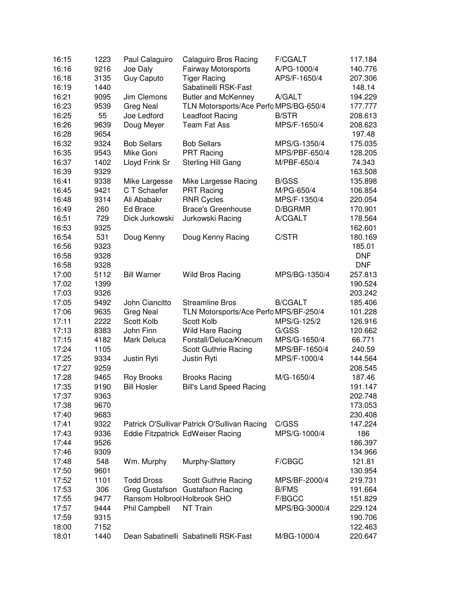| 16:15 | 1223 | Paul Calaguiro               | Calaguiro Bros Racing                        | <b>F/CGALT</b> | 117.184    |
|-------|------|------------------------------|----------------------------------------------|----------------|------------|
| 16:16 | 9216 | Joe Daly                     | Fairway Motorsports                          | A/PG-1000/4    | 140.776    |
| 16:18 | 3135 | <b>Guy Caputo</b>            | <b>Tiger Racing</b>                          | APS/F-1650/4   | 207.306    |
| 16:19 | 1440 |                              | Sabatinelli RSK-Fast                         |                | 148.14     |
| 16:21 | 9095 | Jim Clemons                  | <b>Butler and McKenney</b>                   | A/GALT         | 194.229    |
| 16:23 | 9539 | <b>Greg Neal</b>             | TLN Motorsports/Ace Perfo MPS/BG-650/4       |                | 177.777    |
| 16:25 | 55   | Joe Ledford                  | Leadfoot Racing                              | <b>B/STR</b>   | 208.613    |
| 16:26 | 9639 | Doug Meyer                   | <b>Team Fat Ass</b>                          | MPS/F-1650/4   | 208.623    |
| 16:28 | 9654 |                              |                                              |                | 197.48     |
| 16:32 | 9324 | <b>Bob Sellars</b>           | <b>Bob Sellars</b>                           | MPS/G-1350/4   | 175.035    |
| 16:35 | 9543 | Mike Goni                    | <b>PRT Racing</b>                            | MPS/PBF-650/4  | 128.205    |
| 16:37 | 1402 | Lloyd Frink Sr               | Sterling Hill Gang                           | M/PBF-650/4    | 74.343     |
| 16:39 | 9329 |                              |                                              |                | 163.508    |
| 16:41 | 9338 | Mike Largesse                | Mike Largesse Racing                         | <b>B/GSS</b>   | 135.898    |
| 16:45 | 9421 | C T Schaefer                 | <b>PRT Racing</b>                            | M/PG-650/4     | 106.854    |
| 16:48 | 9314 | Ali Ababakr                  | <b>RNR Cycles</b>                            | MPS/F-1350/4   | 220.054    |
| 16:49 | 260  | <b>Ed Brace</b>              | <b>Brace's Greenhouse</b>                    | D/BGRMR        | 170.901    |
| 16:51 | 729  | Dick Jurkowski               | Jurkowski Racing                             | A/CGALT        | 178.564    |
| 16:53 | 9325 |                              |                                              |                | 162.601    |
| 16:54 | 531  | Doug Kenny                   | Doug Kenny Racing                            | C/STR          | 180.169    |
| 16:56 | 9323 |                              |                                              |                | 185.01     |
| 16:58 | 9328 |                              |                                              |                | <b>DNF</b> |
| 16:58 | 9328 |                              |                                              |                | <b>DNF</b> |
| 17:00 | 5112 | <b>Bill Warner</b>           | Wild Bros Racing                             | MPS/BG-1350/4  | 257.813    |
| 17:02 | 1399 |                              |                                              |                | 190.524    |
| 17:03 | 9326 |                              |                                              |                | 203.242    |
| 17:05 | 9492 | John Ciancitto               | <b>Streamline Bros</b>                       | <b>B/CGALT</b> | 185.406    |
| 17:06 | 9635 | Greg Neal                    | TLN Motorsports/Ace Perfo MPS/BF-250/4       |                | 101.228    |
| 17:11 | 2222 | Scott Kolb                   | Scott Kolb                                   | MPS/G-125/2    | 126.916    |
| 17:13 | 8383 | John Finn                    | Wild Hare Racing                             | G/GSS          | 120.662    |
| 17:15 | 4182 | Mark Deluca                  | Forstall/Deluca/Knecum                       | MPS/G-1650/4   | 66.771     |
| 17:24 | 1105 |                              | Scott Guthrie Racing                         | MPS/BF-1650/4  | 240.59     |
| 17:25 | 9334 | Justin Ryti                  | Justin Ryti                                  | MPS/F-1000/4   | 144.564    |
| 17:27 | 9259 |                              |                                              |                | 208.545    |
| 17:28 | 9465 | <b>Roy Brooks</b>            | <b>Brooks Racing</b>                         | M/G-1650/4     | 187.46     |
| 17:35 | 9190 | <b>Bill Hosler</b>           | <b>Bill's Land Speed Racing</b>              |                | 191.147    |
| 17:37 | 9363 |                              |                                              |                | 202.748    |
| 17:38 | 9670 |                              |                                              |                | 173.053    |
| 17:40 | 9683 |                              |                                              |                | 230.408    |
| 17:41 | 9322 |                              | Patrick O'Sullivan Patrick O'Sullivan Racing | C/GSS          | 147.224    |
| 17:43 | 9336 |                              | Eddie Fitzpatrick EdWeiser Racing            | MPS/G-1000/4   | 186        |
| 17:44 | 9526 |                              |                                              |                | 186.397    |
| 17:46 | 9309 |                              |                                              |                | 134.966    |
| 17:48 | 548  | Wm. Murphy                   | Murphy-Slattery                              | F/CBGC         | 121.81     |
| 17:50 | 9601 |                              |                                              |                | 130.954    |
| 17:52 | 1101 | <b>Todd Dross</b>            | Scott Guthrie Racing                         | MPS/BF-2000/4  | 219.731    |
| 17:53 | 306  |                              | Greg Gustafson Gustafson Racing              | <b>B/FMS</b>   | 191.664    |
| 17:55 | 9477 | Ransom Holbrool Holbrook SHO |                                              | F/BGCC         | 151.829    |
| 17:57 | 9444 | Phil Campbell                | NT Train                                     | MPS/BG-3000/4  | 229.124    |
| 17:59 | 9315 |                              |                                              |                | 190.706    |
| 18:00 | 7152 |                              |                                              |                | 122.463    |
| 18:01 | 1440 |                              | Dean Sabatinelli Sabatinelli RSK-Fast        | M/BG-1000/4    | 220.647    |
|       |      |                              |                                              |                |            |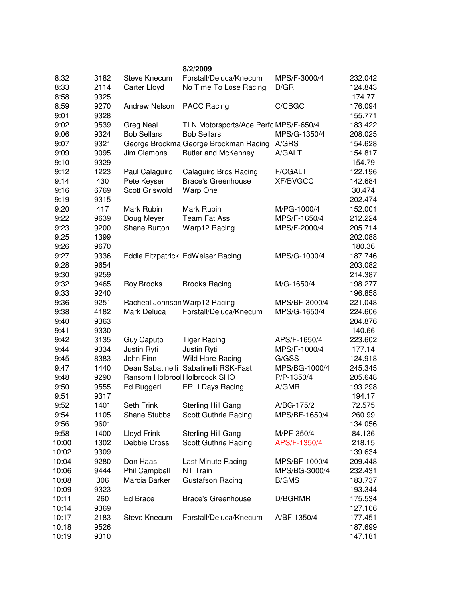|       |      |                                              | 8/2/2009                              |                 |         |
|-------|------|----------------------------------------------|---------------------------------------|-----------------|---------|
| 8:32  | 3182 | Steve Knecum                                 | Forstall/Deluca/Knecum                | MPS/F-3000/4    | 232.042 |
| 8:33  | 2114 | <b>Carter Lloyd</b>                          | No Time To Lose Racing                | D/GR            | 124.843 |
| 8:58  | 9325 |                                              |                                       |                 | 174.77  |
| 8:59  | 9270 | Andrew Nelson                                | <b>PACC Racing</b>                    | C/CBGC          | 176.094 |
| 9:01  | 9328 |                                              |                                       |                 | 155.771 |
| 9:02  | 9539 | <b>Greg Neal</b>                             | TLN Motorsports/Ace Perfo MPS/F-650/4 |                 | 183.422 |
| 9:06  | 9324 | <b>Bob Sellars</b>                           | <b>Bob Sellars</b>                    | MPS/G-1350/4    | 208.025 |
| 9:07  | 9321 |                                              | George Brockma George Brockman Racing | A/GRS           | 154.628 |
| 9:09  | 9095 | Jim Clemons                                  | <b>Butler and McKenney</b>            | A/GALT          | 154.817 |
| 9:10  | 9329 |                                              |                                       |                 | 154.79  |
| 9:12  | 1223 | Paul Calaguiro                               | <b>Calaguiro Bros Racing</b>          | <b>F/CGALT</b>  | 122.196 |
| 9:14  | 430  | Pete Keyser                                  | <b>Brace's Greenhouse</b>             | <b>XF/BVGCC</b> | 142.684 |
| 9:16  | 6769 | <b>Scott Griswold</b>                        | Warp One                              |                 | 30.474  |
| 9:19  | 9315 |                                              |                                       |                 | 202.474 |
| 9:20  | 417  | Mark Rubin                                   | Mark Rubin                            | M/PG-1000/4     | 152.001 |
| 9:22  | 9639 | Doug Meyer                                   | <b>Team Fat Ass</b>                   | MPS/F-1650/4    | 212.224 |
| 9:23  | 9200 | Shane Burton                                 | Warp12 Racing                         | MPS/F-2000/4    | 205.714 |
| 9:25  | 1399 |                                              |                                       |                 | 202.088 |
| 9:26  | 9670 |                                              |                                       |                 | 180.36  |
| 9:27  | 9336 |                                              | Eddie Fitzpatrick EdWeiser Racing     | MPS/G-1000/4    | 187.746 |
| 9:28  | 9654 |                                              |                                       |                 | 203.082 |
| 9:30  | 9259 |                                              |                                       |                 | 214.387 |
| 9:32  | 9465 | <b>Roy Brooks</b>                            | <b>Brooks Racing</b>                  | M/G-1650/4      | 198.277 |
| 9:33  | 9240 |                                              |                                       |                 | 196.858 |
| 9:36  | 9251 |                                              |                                       | MPS/BF-3000/4   | 221.048 |
| 9:38  |      | Racheal Johnson Warp12 Racing<br>Mark Deluca | Forstall/Deluca/Knecum                | MPS/G-1650/4    |         |
|       | 4182 |                                              |                                       |                 | 224.606 |
| 9:40  | 9363 |                                              |                                       |                 | 204.876 |
| 9:41  | 9330 |                                              |                                       |                 | 140.66  |
| 9:42  | 3135 | Guy Caputo                                   | <b>Tiger Racing</b>                   | APS/F-1650/4    | 223.602 |
| 9:44  | 9334 | Justin Ryti                                  | Justin Ryti                           | MPS/F-1000/4    | 177.14  |
| 9:45  | 8383 | John Finn                                    | Wild Hare Racing                      | G/GSS           | 124.918 |
| 9:47  | 1440 |                                              | Dean Sabatinelli Sabatinelli RSK-Fast | MPS/BG-1000/4   | 245.345 |
| 9:48  | 9290 | Ransom Holbrool Holbroock SHO                |                                       | P/P-1350/4      | 205.648 |
| 9:50  | 9555 | Ed Ruggeri                                   | <b>ERLI Days Racing</b>               | A/GMR           | 193.298 |
| 9:51  | 9317 |                                              |                                       |                 | 194.17  |
| 9:52  | 1401 | Seth Frink                                   | <b>Sterling Hill Gang</b>             | A/BG-175/2      | 72.575  |
| 9:54  | 1105 | Shane Stubbs                                 | Scott Guthrie Racing                  | MPS/BF-1650/4   | 260.99  |
| 9:56  | 9601 |                                              |                                       |                 | 134.056 |
| 9:58  | 1400 | Lloyd Frink                                  | Sterling Hill Gang                    | M/PF-350/4      | 84.136  |
| 10:00 | 1302 | Debbie Dross                                 | Scott Guthrie Racing                  | APS/F-1350/4    | 218.15  |
| 10:02 | 9309 |                                              |                                       |                 | 139.634 |
| 10:04 | 9280 | Don Haas                                     | Last Minute Racing                    | MPS/BF-1000/4   | 209.448 |
| 10:06 | 9444 | Phil Campbell                                | NT Train                              | MPS/BG-3000/4   | 232.431 |
| 10:08 | 306  | Marcia Barker                                | <b>Gustafson Racing</b>               | <b>B/GMS</b>    | 183.737 |
| 10:09 | 9323 |                                              |                                       |                 | 193.344 |
| 10:11 | 260  | Ed Brace                                     | <b>Brace's Greenhouse</b>             | D/BGRMR         | 175.534 |
| 10:14 | 9369 |                                              |                                       |                 | 127.106 |
| 10:17 | 2183 | Steve Knecum                                 | Forstall/Deluca/Knecum                | A/BF-1350/4     | 177.451 |
| 10:18 | 9526 |                                              |                                       |                 | 187.699 |
| 10:19 | 9310 |                                              |                                       |                 | 147.181 |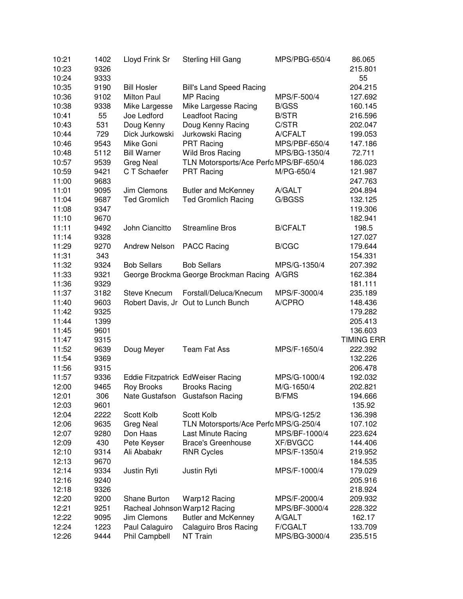| 10:21<br>10:23 | 1402<br>9326 | Lloyd Frink Sr                | Sterling Hill Gang                     | MPS/PBG-650/4   | 86.065<br>215.801 |
|----------------|--------------|-------------------------------|----------------------------------------|-----------------|-------------------|
| 10:24          | 9333         |                               |                                        |                 | 55                |
| 10:35          | 9190         | <b>Bill Hosler</b>            | <b>Bill's Land Speed Racing</b>        |                 | 204.215           |
| 10:36          | 9102         | <b>Milton Paul</b>            | MP Racing                              | MPS/F-500/4     | 127.692           |
| 10:38          | 9338         | Mike Largesse                 | Mike Largesse Racing                   | <b>B/GSS</b>    | 160.145           |
| 10:41          | 55           | Joe Ledford                   | Leadfoot Racing                        | <b>B/STR</b>    | 216.596           |
| 10:43          | 531          | Doug Kenny                    | Doug Kenny Racing                      | C/STR           | 202.047           |
| 10:44          | 729          | Dick Jurkowski                | Jurkowski Racing                       | A/CFALT         | 199.053           |
| 10:46          | 9543         | Mike Goni                     | <b>PRT Racing</b>                      | MPS/PBF-650/4   | 147.186           |
| 10:48          | 5112         | <b>Bill Warner</b>            | Wild Bros Racing                       | MPS/BG-1350/4   | 72.711            |
| 10:57          | 9539         | <b>Greg Neal</b>              | TLN Motorsports/Ace Perfo MPS/BF-650/4 |                 | 186.023           |
| 10:59          | 9421         | C T Schaefer                  | <b>PRT Racing</b>                      | M/PG-650/4      | 121.987           |
| 11:00          | 9683         |                               |                                        |                 | 247.763           |
| 11:01          | 9095         | Jim Clemons                   | <b>Butler and McKenney</b>             | A/GALT          | 204.894           |
| 11:04          | 9687         | <b>Ted Gromlich</b>           | <b>Ted Gromlich Racing</b>             | G/BGSS          | 132.125           |
| 11:08          | 9347         |                               |                                        |                 | 119.306           |
| 11:10          | 9670         |                               |                                        |                 | 182.941           |
| 11:11          | 9492         | John Ciancitto                | <b>Streamline Bros</b>                 | <b>B/CFALT</b>  | 198.5             |
| 11:14          | 9328         |                               |                                        |                 | 127.027           |
| 11:29          | 9270         | <b>Andrew Nelson</b>          | <b>PACC Racing</b>                     | <b>B/CGC</b>    | 179.644           |
| 11:31          | 343          |                               |                                        |                 | 154.331           |
| 11:32          | 9324         | <b>Bob Sellars</b>            | <b>Bob Sellars</b>                     | MPS/G-1350/4    | 207.392           |
| 11:33          | 9321         |                               | George Brockma George Brockman Racing  | A/GRS           | 162.384           |
| 11:36          | 9329         |                               |                                        |                 | 181.111           |
| 11:37          | 3182         | <b>Steve Knecum</b>           | Forstall/Deluca/Knecum                 | MPS/F-3000/4    | 235.189           |
| 11:40          | 9603         |                               | Robert Davis, Jr Out to Lunch Bunch    | A/CPRO          | 148.436           |
| 11:42          | 9325         |                               |                                        |                 | 179.282           |
| 11:44          | 1399         |                               |                                        |                 | 205.413           |
| 11:45          | 9601         |                               |                                        |                 | 136.603           |
| 11:47          | 9315         |                               |                                        |                 | <b>TIMING ERR</b> |
| 11:52          | 9639         | Doug Meyer                    | <b>Team Fat Ass</b>                    | MPS/F-1650/4    | 222.392           |
| 11:54          | 9369         |                               |                                        |                 | 132.226           |
| 11:56          | 9315         |                               |                                        |                 | 206.478           |
| 11:57          | 9336         |                               | Eddie Fitzpatrick EdWeiser Racing      | MPS/G-1000/4    | 192.032           |
| 12:00          | 9465         | Roy Brooks                    | <b>Brooks Racing</b>                   | M/G-1650/4      | 202.821           |
| 12:01          | 306          |                               | Nate Gustafson Gustafson Racing        | <b>B/FMS</b>    | 194.666           |
| 12:03          | 9601         |                               |                                        |                 | 135.92            |
| 12:04          | 2222         | Scott Kolb                    | Scott Kolb                             | MPS/G-125/2     | 136.398           |
| 12:06          | 9635         | <b>Greg Neal</b>              | TLN Motorsports/Ace Perfo MPS/G-250/4  |                 | 107.102           |
| 12:07          | 9280         | Don Haas                      | Last Minute Racing                     | MPS/BF-1000/4   | 223.624           |
| 12:09          | 430          | Pete Keyser                   | <b>Brace's Greenhouse</b>              | <b>XF/BVGCC</b> | 144.406           |
| 12:10          | 9314         | Ali Ababakr                   | <b>RNR Cycles</b>                      | MPS/F-1350/4    | 219.952           |
| 12:13          | 9670         |                               |                                        |                 | 184.535           |
| 12:14          | 9334         | Justin Ryti                   | Justin Ryti                            | MPS/F-1000/4    | 179.029           |
| 12:16          | 9240         |                               |                                        |                 | 205.916           |
| 12:18          | 9326         |                               |                                        |                 | 218.924           |
| 12:20          | 9200         | Shane Burton                  | Warp12 Racing                          | MPS/F-2000/4    | 209.932           |
| 12:21          | 9251         | Racheal Johnson Warp12 Racing |                                        | MPS/BF-3000/4   | 228.322           |
| 12:22          | 9095         | Jim Clemons                   | <b>Butler and McKenney</b>             | A/GALT          | 162.17            |
| 12:24          | 1223         | Paul Calaguiro                | <b>Calaguiro Bros Racing</b>           | <b>F/CGALT</b>  | 133.709           |
| 12:26          | 9444         | Phil Campbell                 | NT Train                               | MPS/BG-3000/4   | 235.515           |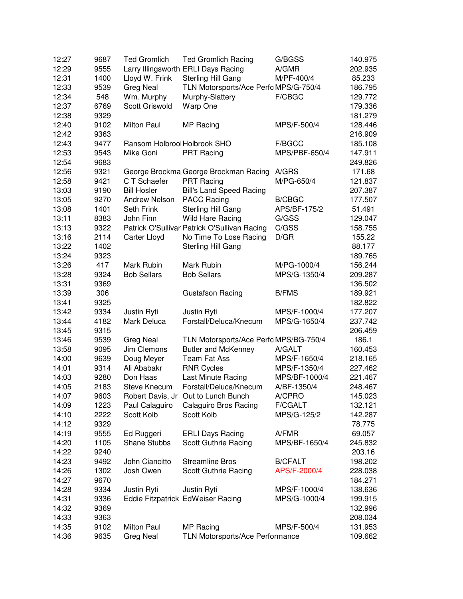| 12:27 | 9687 | <b>Ted Gromlich</b>          | <b>Ted Gromlich Racing</b>                   | G/BGSS         | 140.975 |
|-------|------|------------------------------|----------------------------------------------|----------------|---------|
| 12:29 | 9555 |                              | Larry Illingsworth ERLI Days Racing          | A/GMR          | 202.935 |
| 12:31 | 1400 | Lloyd W. Frink               | Sterling Hill Gang                           | M/PF-400/4     | 85.233  |
| 12:33 | 9539 | <b>Greg Neal</b>             | TLN Motorsports/Ace Perfo MPS/G-750/4        |                | 186.795 |
| 12:34 | 548  | Wm. Murphy                   | Murphy-Slattery                              | F/CBGC         | 129.772 |
| 12:37 | 6769 | <b>Scott Griswold</b>        | Warp One                                     |                | 179.336 |
| 12:38 | 9329 |                              |                                              |                | 181.279 |
| 12:40 | 9102 | Milton Paul                  | MP Racing                                    | MPS/F-500/4    | 128.446 |
| 12:42 | 9363 |                              |                                              |                | 216.909 |
| 12:43 | 9477 | Ransom Holbrool Holbrook SHO |                                              | F/BGCC         | 185.108 |
| 12:53 | 9543 | Mike Goni                    | <b>PRT Racing</b>                            | MPS/PBF-650/4  | 147.911 |
| 12:54 | 9683 |                              |                                              |                | 249.826 |
| 12:56 | 9321 |                              | George Brockma George Brockman Racing        | A/GRS          | 171.68  |
| 12:58 | 9421 | C T Schaefer                 | <b>PRT Racing</b>                            | M/PG-650/4     | 121.837 |
| 13:03 | 9190 | <b>Bill Hosler</b>           | <b>Bill's Land Speed Racing</b>              |                | 207.387 |
| 13:05 | 9270 | Andrew Nelson                | <b>PACC Racing</b>                           | <b>B/CBGC</b>  | 177.507 |
| 13:08 | 1401 | Seth Frink                   | Sterling Hill Gang                           | APS/BF-175/2   | 51.491  |
| 13:11 | 8383 | John Finn                    | Wild Hare Racing                             | G/GSS          | 129.047 |
| 13:13 | 9322 |                              | Patrick O'Sullivar Patrick O'Sullivan Racing | C/GSS          | 158.755 |
| 13:16 | 2114 | Carter Lloyd                 | No Time To Lose Racing                       | D/GR           | 155.22  |
| 13:22 | 1402 |                              | Sterling Hill Gang                           |                | 88.177  |
| 13:24 | 9323 |                              |                                              |                | 189.765 |
| 13:26 | 417  | Mark Rubin                   | Mark Rubin                                   | M/PG-1000/4    | 156.244 |
| 13:28 | 9324 | <b>Bob Sellars</b>           | <b>Bob Sellars</b>                           | MPS/G-1350/4   | 209.287 |
| 13:31 | 9369 |                              |                                              |                | 136.502 |
| 13:39 | 306  |                              | <b>Gustafson Racing</b>                      | <b>B/FMS</b>   | 189.921 |
| 13:41 | 9325 |                              |                                              |                | 182.822 |
| 13:42 | 9334 | Justin Ryti                  | Justin Ryti                                  | MPS/F-1000/4   | 177.207 |
| 13:44 | 4182 | Mark Deluca                  | Forstall/Deluca/Knecum                       | MPS/G-1650/4   | 237.742 |
| 13:45 | 9315 |                              |                                              |                | 206.459 |
| 13:46 | 9539 | <b>Greg Neal</b>             | TLN Motorsports/Ace Perfo MPS/BG-750/4       |                | 186.1   |
| 13:58 | 9095 | Jim Clemons                  | <b>Butler and McKenney</b>                   | A/GALT         | 160.453 |
| 14:00 | 9639 | Doug Meyer                   | <b>Team Fat Ass</b>                          | MPS/F-1650/4   | 218.165 |
| 14:01 | 9314 | Ali Ababakr                  | <b>RNR Cycles</b>                            | MPS/F-1350/4   | 227.462 |
| 14:03 | 9280 | Don Haas                     | Last Minute Racing                           | MPS/BF-1000/4  | 221.467 |
| 14:05 | 2183 | <b>Steve Knecum</b>          | Forstall/Deluca/Knecum                       | A/BF-1350/4    | 248.467 |
| 14:07 | 9603 |                              | Robert Davis, Jr Out to Lunch Bunch          | A/CPRO         | 145.023 |
| 14:09 | 1223 | Paul Calaguiro               | <b>Calaguiro Bros Racing</b>                 | F/CGALT        | 132.121 |
| 14:10 | 2222 | Scott Kolb                   | Scott Kolb                                   | MPS/G-125/2    | 142.287 |
| 14:12 | 9329 |                              |                                              |                | 78.775  |
| 14:19 | 9555 | Ed Ruggeri                   | <b>ERLI Days Racing</b>                      | A/FMR          | 69.057  |
| 14:20 | 1105 | <b>Shane Stubbs</b>          | Scott Guthrie Racing                         | MPS/BF-1650/4  | 245.832 |
| 14:22 | 9240 |                              |                                              |                | 203.16  |
| 14:23 | 9492 | John Ciancitto               | <b>Streamline Bros</b>                       | <b>B/CFALT</b> | 198.202 |
| 14:26 | 1302 | Josh Owen                    | Scott Guthrie Racing                         | APS/F-2000/4   | 228.038 |
| 14:27 | 9670 |                              |                                              |                | 184.271 |
| 14:28 | 9334 | Justin Ryti                  | Justin Ryti                                  | MPS/F-1000/4   | 138.636 |
| 14:31 | 9336 |                              | Eddie Fitzpatrick EdWeiser Racing            | MPS/G-1000/4   | 199.915 |
| 14:32 | 9369 |                              |                                              |                | 132.996 |
| 14:33 | 9363 |                              |                                              |                | 208.034 |
| 14:35 | 9102 | Milton Paul                  | MP Racing                                    | MPS/F-500/4    | 131.953 |
| 14:36 | 9635 | <b>Greg Neal</b>             | TLN Motorsports/Ace Performance              |                | 109.662 |
|       |      |                              |                                              |                |         |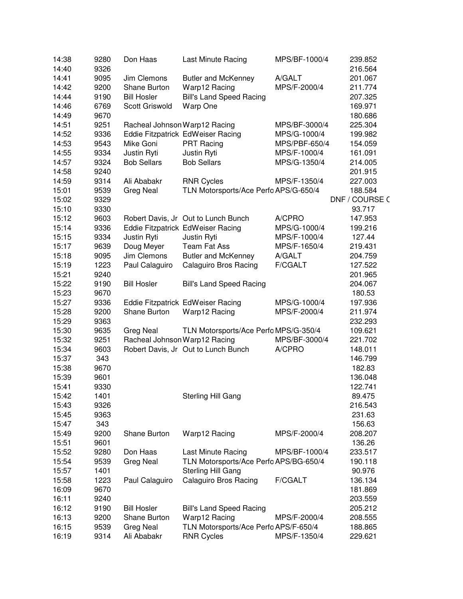| 14:40<br>9326<br>216.564<br>Jim Clemons<br>14:41<br>9095<br><b>Butler and McKenney</b><br>A/GALT<br>201.067<br>9200<br>Shane Burton<br>Warp12 Racing<br>MPS/F-2000/4<br>14:42<br>211.774<br>14:44<br>9190<br><b>Bill Hosler</b><br><b>Bill's Land Speed Racing</b><br>207.325<br>Scott Griswold<br>14:46<br>6769<br>Warp One<br>169.971<br>14:49<br>9670<br>180.686<br>14:51<br>9251<br>Racheal Johnson Warp12 Racing<br>MPS/BF-3000/4<br>225.304<br>14:52<br>9336<br>Eddie Fitzpatrick EdWeiser Racing<br>MPS/G-1000/4<br>199.982<br>14:53<br>9543<br>Mike Goni<br><b>PRT Racing</b><br>MPS/PBF-650/4<br>154.059<br>14:55<br>9334<br>Justin Ryti<br>Justin Ryti<br>MPS/F-1000/4<br>161.091<br>14:57<br>9324<br><b>Bob Sellars</b><br><b>Bob Sellars</b><br>MPS/G-1350/4<br>214.005<br>14:58<br>9240<br>201.915<br>14:59<br><b>RNR Cycles</b><br>9314<br>Ali Ababakr<br>MPS/F-1350/4<br>227.003<br>15:01<br>9539<br>TLN Motorsports/Ace Perfo APS/G-650/4<br><b>Greg Neal</b><br>188.584<br>15:02<br>9329<br>15:10<br>9330<br>93.717<br>15:12<br>9603<br>Robert Davis, Jr Out to Lunch Bunch<br>A/CPRO<br>147.953<br>15:14<br>9336<br>Eddie Fitzpatrick EdWeiser Racing<br>MPS/G-1000/4<br>199.216<br>9334<br>Justin Ryti<br>15:15<br>Justin Ryti<br>MPS/F-1000/4<br>127.44<br>15:17<br>9639<br>Doug Meyer<br><b>Team Fat Ass</b><br>MPS/F-1650/4<br>219.431<br>15:18<br>9095<br>Jim Clemons<br><b>Butler and McKenney</b><br>A/GALT<br>204.759<br>15:19<br>1223<br>F/CGALT<br>Paul Calaguiro<br><b>Calaguiro Bros Racing</b><br>127.522<br>15:21<br>9240<br>201.965<br>15:22<br>9190<br><b>Bill Hosler</b><br><b>Bill's Land Speed Racing</b><br>204.067<br>15:23<br>9670<br>180.53<br>15:27<br>9336<br>Eddie Fitzpatrick EdWeiser Racing<br>MPS/G-1000/4<br>197.936<br>15:28<br>9200<br>Shane Burton<br>Warp12 Racing<br>MPS/F-2000/4<br>211.974<br>15:29<br>9363<br>232.293<br>15:30<br>9635<br><b>Greg Neal</b><br>TLN Motorsports/Ace Perfo MPS/G-350/4<br>109.621<br>Racheal Johnson Warp12 Racing<br>15:32<br>9251<br>MPS/BF-3000/4<br>221.702<br>15:34<br>Robert Davis, Jr Out to Lunch Bunch<br>A/CPRO<br>9603<br>148.011<br>15:37<br>343<br>146.799<br>15:38<br>9670<br>182.83<br>15:39<br>9601<br>136.048<br>9330<br>15:41<br>122.741<br>15:42<br>1401<br>Sterling Hill Gang<br>89.475<br>15:43<br>9326<br>216.543<br>15:45<br>9363<br>231.63<br>15:47<br>343<br>156.63<br>15:49<br>9200<br>Shane Burton<br>Warp12 Racing<br>MPS/F-2000/4<br>208.207<br>15:51<br>9601<br>136.26<br>15:52<br>9280<br>Don Haas<br>Last Minute Racing<br>233.517<br>MPS/BF-1000/4<br>15:54<br>9539<br><b>Greg Neal</b><br>TLN Motorsports/Ace Perfo APS/BG-650/4<br>190.118<br>15:57<br>1401<br>Sterling Hill Gang<br>90.976 | 14:38 | 9280 | Don Haas       | Last Minute Racing           | MPS/BF-1000/4  | 239.852        |
|----------------------------------------------------------------------------------------------------------------------------------------------------------------------------------------------------------------------------------------------------------------------------------------------------------------------------------------------------------------------------------------------------------------------------------------------------------------------------------------------------------------------------------------------------------------------------------------------------------------------------------------------------------------------------------------------------------------------------------------------------------------------------------------------------------------------------------------------------------------------------------------------------------------------------------------------------------------------------------------------------------------------------------------------------------------------------------------------------------------------------------------------------------------------------------------------------------------------------------------------------------------------------------------------------------------------------------------------------------------------------------------------------------------------------------------------------------------------------------------------------------------------------------------------------------------------------------------------------------------------------------------------------------------------------------------------------------------------------------------------------------------------------------------------------------------------------------------------------------------------------------------------------------------------------------------------------------------------------------------------------------------------------------------------------------------------------------------------------------------------------------------------------------------------------------------------------------------------------------------------------------------------------------------------------------------------------------------------------------------------------------------------------------------------------------------------------------------------------------------------------------------------------------------------------------------------------------------------------------------------------------------------------------------------------------------------------------------------|-------|------|----------------|------------------------------|----------------|----------------|
|                                                                                                                                                                                                                                                                                                                                                                                                                                                                                                                                                                                                                                                                                                                                                                                                                                                                                                                                                                                                                                                                                                                                                                                                                                                                                                                                                                                                                                                                                                                                                                                                                                                                                                                                                                                                                                                                                                                                                                                                                                                                                                                                                                                                                                                                                                                                                                                                                                                                                                                                                                                                                                                                                                                      |       |      |                |                              |                |                |
|                                                                                                                                                                                                                                                                                                                                                                                                                                                                                                                                                                                                                                                                                                                                                                                                                                                                                                                                                                                                                                                                                                                                                                                                                                                                                                                                                                                                                                                                                                                                                                                                                                                                                                                                                                                                                                                                                                                                                                                                                                                                                                                                                                                                                                                                                                                                                                                                                                                                                                                                                                                                                                                                                                                      |       |      |                |                              |                |                |
|                                                                                                                                                                                                                                                                                                                                                                                                                                                                                                                                                                                                                                                                                                                                                                                                                                                                                                                                                                                                                                                                                                                                                                                                                                                                                                                                                                                                                                                                                                                                                                                                                                                                                                                                                                                                                                                                                                                                                                                                                                                                                                                                                                                                                                                                                                                                                                                                                                                                                                                                                                                                                                                                                                                      |       |      |                |                              |                |                |
|                                                                                                                                                                                                                                                                                                                                                                                                                                                                                                                                                                                                                                                                                                                                                                                                                                                                                                                                                                                                                                                                                                                                                                                                                                                                                                                                                                                                                                                                                                                                                                                                                                                                                                                                                                                                                                                                                                                                                                                                                                                                                                                                                                                                                                                                                                                                                                                                                                                                                                                                                                                                                                                                                                                      |       |      |                |                              |                |                |
|                                                                                                                                                                                                                                                                                                                                                                                                                                                                                                                                                                                                                                                                                                                                                                                                                                                                                                                                                                                                                                                                                                                                                                                                                                                                                                                                                                                                                                                                                                                                                                                                                                                                                                                                                                                                                                                                                                                                                                                                                                                                                                                                                                                                                                                                                                                                                                                                                                                                                                                                                                                                                                                                                                                      |       |      |                |                              |                |                |
|                                                                                                                                                                                                                                                                                                                                                                                                                                                                                                                                                                                                                                                                                                                                                                                                                                                                                                                                                                                                                                                                                                                                                                                                                                                                                                                                                                                                                                                                                                                                                                                                                                                                                                                                                                                                                                                                                                                                                                                                                                                                                                                                                                                                                                                                                                                                                                                                                                                                                                                                                                                                                                                                                                                      |       |      |                |                              |                |                |
|                                                                                                                                                                                                                                                                                                                                                                                                                                                                                                                                                                                                                                                                                                                                                                                                                                                                                                                                                                                                                                                                                                                                                                                                                                                                                                                                                                                                                                                                                                                                                                                                                                                                                                                                                                                                                                                                                                                                                                                                                                                                                                                                                                                                                                                                                                                                                                                                                                                                                                                                                                                                                                                                                                                      |       |      |                |                              |                |                |
|                                                                                                                                                                                                                                                                                                                                                                                                                                                                                                                                                                                                                                                                                                                                                                                                                                                                                                                                                                                                                                                                                                                                                                                                                                                                                                                                                                                                                                                                                                                                                                                                                                                                                                                                                                                                                                                                                                                                                                                                                                                                                                                                                                                                                                                                                                                                                                                                                                                                                                                                                                                                                                                                                                                      |       |      |                |                              |                |                |
|                                                                                                                                                                                                                                                                                                                                                                                                                                                                                                                                                                                                                                                                                                                                                                                                                                                                                                                                                                                                                                                                                                                                                                                                                                                                                                                                                                                                                                                                                                                                                                                                                                                                                                                                                                                                                                                                                                                                                                                                                                                                                                                                                                                                                                                                                                                                                                                                                                                                                                                                                                                                                                                                                                                      |       |      |                |                              |                |                |
|                                                                                                                                                                                                                                                                                                                                                                                                                                                                                                                                                                                                                                                                                                                                                                                                                                                                                                                                                                                                                                                                                                                                                                                                                                                                                                                                                                                                                                                                                                                                                                                                                                                                                                                                                                                                                                                                                                                                                                                                                                                                                                                                                                                                                                                                                                                                                                                                                                                                                                                                                                                                                                                                                                                      |       |      |                |                              |                |                |
|                                                                                                                                                                                                                                                                                                                                                                                                                                                                                                                                                                                                                                                                                                                                                                                                                                                                                                                                                                                                                                                                                                                                                                                                                                                                                                                                                                                                                                                                                                                                                                                                                                                                                                                                                                                                                                                                                                                                                                                                                                                                                                                                                                                                                                                                                                                                                                                                                                                                                                                                                                                                                                                                                                                      |       |      |                |                              |                |                |
|                                                                                                                                                                                                                                                                                                                                                                                                                                                                                                                                                                                                                                                                                                                                                                                                                                                                                                                                                                                                                                                                                                                                                                                                                                                                                                                                                                                                                                                                                                                                                                                                                                                                                                                                                                                                                                                                                                                                                                                                                                                                                                                                                                                                                                                                                                                                                                                                                                                                                                                                                                                                                                                                                                                      |       |      |                |                              |                |                |
|                                                                                                                                                                                                                                                                                                                                                                                                                                                                                                                                                                                                                                                                                                                                                                                                                                                                                                                                                                                                                                                                                                                                                                                                                                                                                                                                                                                                                                                                                                                                                                                                                                                                                                                                                                                                                                                                                                                                                                                                                                                                                                                                                                                                                                                                                                                                                                                                                                                                                                                                                                                                                                                                                                                      |       |      |                |                              |                |                |
|                                                                                                                                                                                                                                                                                                                                                                                                                                                                                                                                                                                                                                                                                                                                                                                                                                                                                                                                                                                                                                                                                                                                                                                                                                                                                                                                                                                                                                                                                                                                                                                                                                                                                                                                                                                                                                                                                                                                                                                                                                                                                                                                                                                                                                                                                                                                                                                                                                                                                                                                                                                                                                                                                                                      |       |      |                |                              |                |                |
|                                                                                                                                                                                                                                                                                                                                                                                                                                                                                                                                                                                                                                                                                                                                                                                                                                                                                                                                                                                                                                                                                                                                                                                                                                                                                                                                                                                                                                                                                                                                                                                                                                                                                                                                                                                                                                                                                                                                                                                                                                                                                                                                                                                                                                                                                                                                                                                                                                                                                                                                                                                                                                                                                                                      |       |      |                |                              |                | DNF / COURSE C |
|                                                                                                                                                                                                                                                                                                                                                                                                                                                                                                                                                                                                                                                                                                                                                                                                                                                                                                                                                                                                                                                                                                                                                                                                                                                                                                                                                                                                                                                                                                                                                                                                                                                                                                                                                                                                                                                                                                                                                                                                                                                                                                                                                                                                                                                                                                                                                                                                                                                                                                                                                                                                                                                                                                                      |       |      |                |                              |                |                |
|                                                                                                                                                                                                                                                                                                                                                                                                                                                                                                                                                                                                                                                                                                                                                                                                                                                                                                                                                                                                                                                                                                                                                                                                                                                                                                                                                                                                                                                                                                                                                                                                                                                                                                                                                                                                                                                                                                                                                                                                                                                                                                                                                                                                                                                                                                                                                                                                                                                                                                                                                                                                                                                                                                                      |       |      |                |                              |                |                |
|                                                                                                                                                                                                                                                                                                                                                                                                                                                                                                                                                                                                                                                                                                                                                                                                                                                                                                                                                                                                                                                                                                                                                                                                                                                                                                                                                                                                                                                                                                                                                                                                                                                                                                                                                                                                                                                                                                                                                                                                                                                                                                                                                                                                                                                                                                                                                                                                                                                                                                                                                                                                                                                                                                                      |       |      |                |                              |                |                |
|                                                                                                                                                                                                                                                                                                                                                                                                                                                                                                                                                                                                                                                                                                                                                                                                                                                                                                                                                                                                                                                                                                                                                                                                                                                                                                                                                                                                                                                                                                                                                                                                                                                                                                                                                                                                                                                                                                                                                                                                                                                                                                                                                                                                                                                                                                                                                                                                                                                                                                                                                                                                                                                                                                                      |       |      |                |                              |                |                |
|                                                                                                                                                                                                                                                                                                                                                                                                                                                                                                                                                                                                                                                                                                                                                                                                                                                                                                                                                                                                                                                                                                                                                                                                                                                                                                                                                                                                                                                                                                                                                                                                                                                                                                                                                                                                                                                                                                                                                                                                                                                                                                                                                                                                                                                                                                                                                                                                                                                                                                                                                                                                                                                                                                                      |       |      |                |                              |                |                |
|                                                                                                                                                                                                                                                                                                                                                                                                                                                                                                                                                                                                                                                                                                                                                                                                                                                                                                                                                                                                                                                                                                                                                                                                                                                                                                                                                                                                                                                                                                                                                                                                                                                                                                                                                                                                                                                                                                                                                                                                                                                                                                                                                                                                                                                                                                                                                                                                                                                                                                                                                                                                                                                                                                                      |       |      |                |                              |                |                |
|                                                                                                                                                                                                                                                                                                                                                                                                                                                                                                                                                                                                                                                                                                                                                                                                                                                                                                                                                                                                                                                                                                                                                                                                                                                                                                                                                                                                                                                                                                                                                                                                                                                                                                                                                                                                                                                                                                                                                                                                                                                                                                                                                                                                                                                                                                                                                                                                                                                                                                                                                                                                                                                                                                                      |       |      |                |                              |                |                |
|                                                                                                                                                                                                                                                                                                                                                                                                                                                                                                                                                                                                                                                                                                                                                                                                                                                                                                                                                                                                                                                                                                                                                                                                                                                                                                                                                                                                                                                                                                                                                                                                                                                                                                                                                                                                                                                                                                                                                                                                                                                                                                                                                                                                                                                                                                                                                                                                                                                                                                                                                                                                                                                                                                                      |       |      |                |                              |                |                |
|                                                                                                                                                                                                                                                                                                                                                                                                                                                                                                                                                                                                                                                                                                                                                                                                                                                                                                                                                                                                                                                                                                                                                                                                                                                                                                                                                                                                                                                                                                                                                                                                                                                                                                                                                                                                                                                                                                                                                                                                                                                                                                                                                                                                                                                                                                                                                                                                                                                                                                                                                                                                                                                                                                                      |       |      |                |                              |                |                |
|                                                                                                                                                                                                                                                                                                                                                                                                                                                                                                                                                                                                                                                                                                                                                                                                                                                                                                                                                                                                                                                                                                                                                                                                                                                                                                                                                                                                                                                                                                                                                                                                                                                                                                                                                                                                                                                                                                                                                                                                                                                                                                                                                                                                                                                                                                                                                                                                                                                                                                                                                                                                                                                                                                                      |       |      |                |                              |                |                |
|                                                                                                                                                                                                                                                                                                                                                                                                                                                                                                                                                                                                                                                                                                                                                                                                                                                                                                                                                                                                                                                                                                                                                                                                                                                                                                                                                                                                                                                                                                                                                                                                                                                                                                                                                                                                                                                                                                                                                                                                                                                                                                                                                                                                                                                                                                                                                                                                                                                                                                                                                                                                                                                                                                                      |       |      |                |                              |                |                |
|                                                                                                                                                                                                                                                                                                                                                                                                                                                                                                                                                                                                                                                                                                                                                                                                                                                                                                                                                                                                                                                                                                                                                                                                                                                                                                                                                                                                                                                                                                                                                                                                                                                                                                                                                                                                                                                                                                                                                                                                                                                                                                                                                                                                                                                                                                                                                                                                                                                                                                                                                                                                                                                                                                                      |       |      |                |                              |                |                |
|                                                                                                                                                                                                                                                                                                                                                                                                                                                                                                                                                                                                                                                                                                                                                                                                                                                                                                                                                                                                                                                                                                                                                                                                                                                                                                                                                                                                                                                                                                                                                                                                                                                                                                                                                                                                                                                                                                                                                                                                                                                                                                                                                                                                                                                                                                                                                                                                                                                                                                                                                                                                                                                                                                                      |       |      |                |                              |                |                |
|                                                                                                                                                                                                                                                                                                                                                                                                                                                                                                                                                                                                                                                                                                                                                                                                                                                                                                                                                                                                                                                                                                                                                                                                                                                                                                                                                                                                                                                                                                                                                                                                                                                                                                                                                                                                                                                                                                                                                                                                                                                                                                                                                                                                                                                                                                                                                                                                                                                                                                                                                                                                                                                                                                                      |       |      |                |                              |                |                |
|                                                                                                                                                                                                                                                                                                                                                                                                                                                                                                                                                                                                                                                                                                                                                                                                                                                                                                                                                                                                                                                                                                                                                                                                                                                                                                                                                                                                                                                                                                                                                                                                                                                                                                                                                                                                                                                                                                                                                                                                                                                                                                                                                                                                                                                                                                                                                                                                                                                                                                                                                                                                                                                                                                                      |       |      |                |                              |                |                |
|                                                                                                                                                                                                                                                                                                                                                                                                                                                                                                                                                                                                                                                                                                                                                                                                                                                                                                                                                                                                                                                                                                                                                                                                                                                                                                                                                                                                                                                                                                                                                                                                                                                                                                                                                                                                                                                                                                                                                                                                                                                                                                                                                                                                                                                                                                                                                                                                                                                                                                                                                                                                                                                                                                                      |       |      |                |                              |                |                |
|                                                                                                                                                                                                                                                                                                                                                                                                                                                                                                                                                                                                                                                                                                                                                                                                                                                                                                                                                                                                                                                                                                                                                                                                                                                                                                                                                                                                                                                                                                                                                                                                                                                                                                                                                                                                                                                                                                                                                                                                                                                                                                                                                                                                                                                                                                                                                                                                                                                                                                                                                                                                                                                                                                                      |       |      |                |                              |                |                |
|                                                                                                                                                                                                                                                                                                                                                                                                                                                                                                                                                                                                                                                                                                                                                                                                                                                                                                                                                                                                                                                                                                                                                                                                                                                                                                                                                                                                                                                                                                                                                                                                                                                                                                                                                                                                                                                                                                                                                                                                                                                                                                                                                                                                                                                                                                                                                                                                                                                                                                                                                                                                                                                                                                                      |       |      |                |                              |                |                |
|                                                                                                                                                                                                                                                                                                                                                                                                                                                                                                                                                                                                                                                                                                                                                                                                                                                                                                                                                                                                                                                                                                                                                                                                                                                                                                                                                                                                                                                                                                                                                                                                                                                                                                                                                                                                                                                                                                                                                                                                                                                                                                                                                                                                                                                                                                                                                                                                                                                                                                                                                                                                                                                                                                                      |       |      |                |                              |                |                |
|                                                                                                                                                                                                                                                                                                                                                                                                                                                                                                                                                                                                                                                                                                                                                                                                                                                                                                                                                                                                                                                                                                                                                                                                                                                                                                                                                                                                                                                                                                                                                                                                                                                                                                                                                                                                                                                                                                                                                                                                                                                                                                                                                                                                                                                                                                                                                                                                                                                                                                                                                                                                                                                                                                                      |       |      |                |                              |                |                |
|                                                                                                                                                                                                                                                                                                                                                                                                                                                                                                                                                                                                                                                                                                                                                                                                                                                                                                                                                                                                                                                                                                                                                                                                                                                                                                                                                                                                                                                                                                                                                                                                                                                                                                                                                                                                                                                                                                                                                                                                                                                                                                                                                                                                                                                                                                                                                                                                                                                                                                                                                                                                                                                                                                                      |       |      |                |                              |                |                |
|                                                                                                                                                                                                                                                                                                                                                                                                                                                                                                                                                                                                                                                                                                                                                                                                                                                                                                                                                                                                                                                                                                                                                                                                                                                                                                                                                                                                                                                                                                                                                                                                                                                                                                                                                                                                                                                                                                                                                                                                                                                                                                                                                                                                                                                                                                                                                                                                                                                                                                                                                                                                                                                                                                                      |       |      |                |                              |                |                |
|                                                                                                                                                                                                                                                                                                                                                                                                                                                                                                                                                                                                                                                                                                                                                                                                                                                                                                                                                                                                                                                                                                                                                                                                                                                                                                                                                                                                                                                                                                                                                                                                                                                                                                                                                                                                                                                                                                                                                                                                                                                                                                                                                                                                                                                                                                                                                                                                                                                                                                                                                                                                                                                                                                                      |       |      |                |                              |                |                |
|                                                                                                                                                                                                                                                                                                                                                                                                                                                                                                                                                                                                                                                                                                                                                                                                                                                                                                                                                                                                                                                                                                                                                                                                                                                                                                                                                                                                                                                                                                                                                                                                                                                                                                                                                                                                                                                                                                                                                                                                                                                                                                                                                                                                                                                                                                                                                                                                                                                                                                                                                                                                                                                                                                                      |       |      |                |                              |                |                |
|                                                                                                                                                                                                                                                                                                                                                                                                                                                                                                                                                                                                                                                                                                                                                                                                                                                                                                                                                                                                                                                                                                                                                                                                                                                                                                                                                                                                                                                                                                                                                                                                                                                                                                                                                                                                                                                                                                                                                                                                                                                                                                                                                                                                                                                                                                                                                                                                                                                                                                                                                                                                                                                                                                                      |       |      |                |                              |                |                |
|                                                                                                                                                                                                                                                                                                                                                                                                                                                                                                                                                                                                                                                                                                                                                                                                                                                                                                                                                                                                                                                                                                                                                                                                                                                                                                                                                                                                                                                                                                                                                                                                                                                                                                                                                                                                                                                                                                                                                                                                                                                                                                                                                                                                                                                                                                                                                                                                                                                                                                                                                                                                                                                                                                                      |       |      |                |                              |                |                |
|                                                                                                                                                                                                                                                                                                                                                                                                                                                                                                                                                                                                                                                                                                                                                                                                                                                                                                                                                                                                                                                                                                                                                                                                                                                                                                                                                                                                                                                                                                                                                                                                                                                                                                                                                                                                                                                                                                                                                                                                                                                                                                                                                                                                                                                                                                                                                                                                                                                                                                                                                                                                                                                                                                                      |       |      |                |                              |                |                |
|                                                                                                                                                                                                                                                                                                                                                                                                                                                                                                                                                                                                                                                                                                                                                                                                                                                                                                                                                                                                                                                                                                                                                                                                                                                                                                                                                                                                                                                                                                                                                                                                                                                                                                                                                                                                                                                                                                                                                                                                                                                                                                                                                                                                                                                                                                                                                                                                                                                                                                                                                                                                                                                                                                                      |       |      |                |                              |                |                |
|                                                                                                                                                                                                                                                                                                                                                                                                                                                                                                                                                                                                                                                                                                                                                                                                                                                                                                                                                                                                                                                                                                                                                                                                                                                                                                                                                                                                                                                                                                                                                                                                                                                                                                                                                                                                                                                                                                                                                                                                                                                                                                                                                                                                                                                                                                                                                                                                                                                                                                                                                                                                                                                                                                                      |       |      |                |                              |                |                |
|                                                                                                                                                                                                                                                                                                                                                                                                                                                                                                                                                                                                                                                                                                                                                                                                                                                                                                                                                                                                                                                                                                                                                                                                                                                                                                                                                                                                                                                                                                                                                                                                                                                                                                                                                                                                                                                                                                                                                                                                                                                                                                                                                                                                                                                                                                                                                                                                                                                                                                                                                                                                                                                                                                                      | 15:58 | 1223 | Paul Calaguiro | <b>Calaguiro Bros Racing</b> | <b>F/CGALT</b> | 136.134        |
| 16:09<br>9670<br>181.869                                                                                                                                                                                                                                                                                                                                                                                                                                                                                                                                                                                                                                                                                                                                                                                                                                                                                                                                                                                                                                                                                                                                                                                                                                                                                                                                                                                                                                                                                                                                                                                                                                                                                                                                                                                                                                                                                                                                                                                                                                                                                                                                                                                                                                                                                                                                                                                                                                                                                                                                                                                                                                                                                             |       |      |                |                              |                |                |
| 16:11<br>9240<br>203.559                                                                                                                                                                                                                                                                                                                                                                                                                                                                                                                                                                                                                                                                                                                                                                                                                                                                                                                                                                                                                                                                                                                                                                                                                                                                                                                                                                                                                                                                                                                                                                                                                                                                                                                                                                                                                                                                                                                                                                                                                                                                                                                                                                                                                                                                                                                                                                                                                                                                                                                                                                                                                                                                                             |       |      |                |                              |                |                |
| 16:12<br><b>Bill Hosler</b><br><b>Bill's Land Speed Racing</b><br>9190<br>205.212                                                                                                                                                                                                                                                                                                                                                                                                                                                                                                                                                                                                                                                                                                                                                                                                                                                                                                                                                                                                                                                                                                                                                                                                                                                                                                                                                                                                                                                                                                                                                                                                                                                                                                                                                                                                                                                                                                                                                                                                                                                                                                                                                                                                                                                                                                                                                                                                                                                                                                                                                                                                                                    |       |      |                |                              |                |                |
| 16:13<br>9200<br>Shane Burton<br>Warp12 Racing<br>MPS/F-2000/4<br>208.555                                                                                                                                                                                                                                                                                                                                                                                                                                                                                                                                                                                                                                                                                                                                                                                                                                                                                                                                                                                                                                                                                                                                                                                                                                                                                                                                                                                                                                                                                                                                                                                                                                                                                                                                                                                                                                                                                                                                                                                                                                                                                                                                                                                                                                                                                                                                                                                                                                                                                                                                                                                                                                            |       |      |                |                              |                |                |
| 16:15<br>9539<br><b>Greg Neal</b><br>TLN Motorsports/Ace Perfo APS/F-650/4<br>188.865                                                                                                                                                                                                                                                                                                                                                                                                                                                                                                                                                                                                                                                                                                                                                                                                                                                                                                                                                                                                                                                                                                                                                                                                                                                                                                                                                                                                                                                                                                                                                                                                                                                                                                                                                                                                                                                                                                                                                                                                                                                                                                                                                                                                                                                                                                                                                                                                                                                                                                                                                                                                                                |       |      |                |                              |                |                |
| 16:19<br>Ali Ababakr<br><b>RNR Cycles</b><br>MPS/F-1350/4<br>9314<br>229.621                                                                                                                                                                                                                                                                                                                                                                                                                                                                                                                                                                                                                                                                                                                                                                                                                                                                                                                                                                                                                                                                                                                                                                                                                                                                                                                                                                                                                                                                                                                                                                                                                                                                                                                                                                                                                                                                                                                                                                                                                                                                                                                                                                                                                                                                                                                                                                                                                                                                                                                                                                                                                                         |       |      |                |                              |                |                |